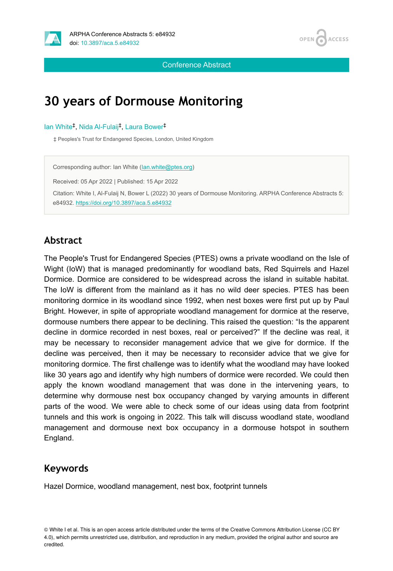



Conference Abstract

# **30 years of Dormouse Monitoring**

lan White<sup>‡</sup>, Nida Al-Fulaij<sup>‡</sup>, Laura Bower<sup>‡</sup>

‡ Peoples's Trust for Endangered Species, London, United Kingdom

Corresponding author: Ian White [\(Ian.white@ptes.org\)](mailto:Ian.white@ptes.org) Received: 05 Apr 2022 | Published: 15 Apr 2022 Citation: White I, Al-Fulaij N, Bower L (2022) 30 years of Dormouse Monitoring. ARPHA Conference Abstracts 5: e84932.<https://doi.org/10.3897/aca.5.e84932>

#### **Abstract**

The People's Trust for Endangered Species (PTES) owns a private woodland on the Isle of Wight (IoW) that is managed predominantly for woodland bats, Red Squirrels and Hazel Dormice. Dormice are considered to be widespread across the island in suitable habitat. The IoW is different from the mainland as it has no wild deer species. PTES has been monitoring dormice in its woodland since 1992, when nest boxes were first put up by Paul Bright. However, in spite of appropriate woodland management for dormice at the reserve, dormouse numbers there appear to be declining. This raised the question: "Is the apparent decline in dormice recorded in nest boxes, real or perceived?" If the decline was real, it may be necessary to reconsider management advice that we give for dormice. If the decline was perceived, then it may be necessary to reconsider advice that we give for monitoring dormice. The first challenge was to identify what the woodland may have looked like 30 years ago and identify why high numbers of dormice were recorded. We could then apply the known woodland management that was done in the intervening years, to determine why dormouse nest box occupancy changed by varying amounts in different parts of the wood. We were able to check some of our ideas using data from footprint tunnels and this work is ongoing in 2022. This talk will discuss woodland state, woodland management and dormouse next box occupancy in a dormouse hotspot in southern England.

#### **Keywords**

Hazel Dormice, woodland management, nest box, footprint tunnels